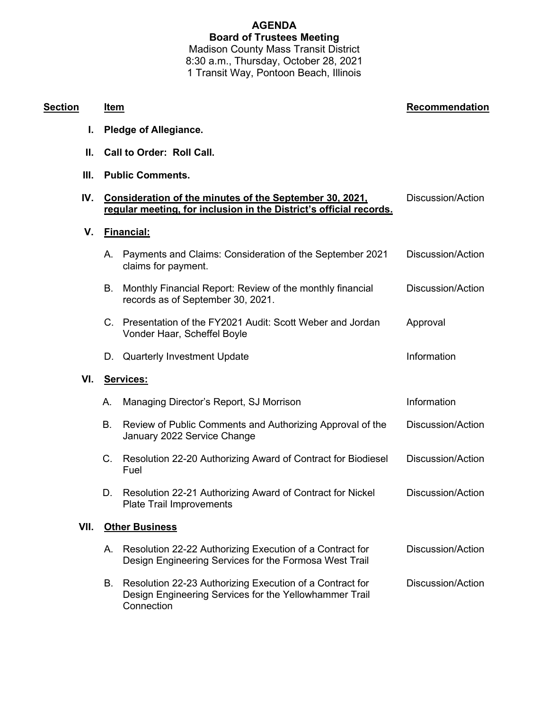## **AGENDA Board of Trustees Meeting** Madison County Mass Transit District 8:30 a.m., Thursday, October 28, 2021

1 Transit Way, Pontoon Beach, Illinois

| Section | Item                                                                                                                          |                                                                                                                    | Recommendation           |  |
|---------|-------------------------------------------------------------------------------------------------------------------------------|--------------------------------------------------------------------------------------------------------------------|--------------------------|--|
| I.      | <b>Pledge of Allegiance.</b>                                                                                                  |                                                                                                                    |                          |  |
| Н.      | <b>Call to Order: Roll Call.</b>                                                                                              |                                                                                                                    |                          |  |
| III.    | <b>Public Comments.</b>                                                                                                       |                                                                                                                    |                          |  |
| IV.     | Consideration of the minutes of the September 30, 2021,<br>regular meeting, for inclusion in the District's official records. |                                                                                                                    | Discussion/Action        |  |
| V.      | <b>Financial:</b>                                                                                                             |                                                                                                                    |                          |  |
|         |                                                                                                                               | A. Payments and Claims: Consideration of the September 2021<br>claims for payment.                                 | Discussion/Action        |  |
|         | В.                                                                                                                            | Monthly Financial Report: Review of the monthly financial<br>records as of September 30, 2021.                     | <b>Discussion/Action</b> |  |
|         |                                                                                                                               | C. Presentation of the FY2021 Audit: Scott Weber and Jordan<br>Vonder Haar, Scheffel Boyle                         | Approval                 |  |
|         | D.                                                                                                                            | <b>Quarterly Investment Update</b>                                                                                 | Information              |  |
| VI.     | Services:                                                                                                                     |                                                                                                                    |                          |  |
|         | А.                                                                                                                            | Managing Director's Report, SJ Morrison                                                                            | Information              |  |
|         | В.                                                                                                                            | Review of Public Comments and Authorizing Approval of the<br>January 2022 Service Change                           | Discussion/Action        |  |
|         |                                                                                                                               | C. Resolution 22-20 Authorizing Award of Contract for Biodiesel<br>Fuel                                            | Discussion/Action        |  |
|         |                                                                                                                               | D. Resolution 22-21 Authorizing Award of Contract for Nickel<br><b>Plate Trail Improvements</b>                    | Discussion/Action        |  |
| VII.    | <b>Other Business</b>                                                                                                         |                                                                                                                    |                          |  |
|         | A.                                                                                                                            | Resolution 22-22 Authorizing Execution of a Contract for<br>Design Engineering Services for the Formosa West Trail | Discussion/Action        |  |

B. Resolution 22-23 Authorizing Execution of a Contract for Design Engineering Services for the Yellowhammer Trail **Connection** Discussion/Action